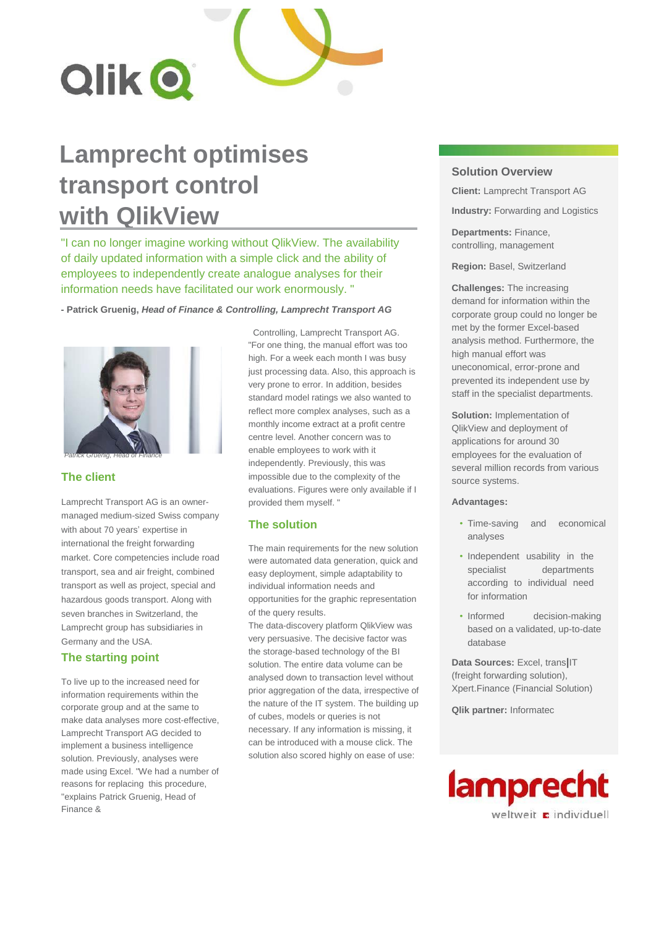# **Qlik Q**

# **Lamprecht optimises transport control with QlikView**

"I can no longer imagine working without QlikView. The availability of daily updated information with a simple click and the ability of employees to independently create analogue analyses for their information needs have facilitated our work enormously. "

**- Patrick Gruenig,** *Head of Finance & Controlling, Lamprecht Transport AG*



# **The client**

Lamprecht Transport AG is an ownermanaged medium-sized Swiss company with about 70 years' expertise in international the freight forwarding market. Core competencies include road transport, sea and air freight, combined transport as well as project, special and hazardous goods transport. Along with seven branches in Switzerland, the Lamprecht group has subsidiaries in Germany and the USA.

## **The starting point**

To live up to the increased need for information requirements within the corporate group and at the same to make data analyses more cost-effective, Lamprecht Transport AG decided to implement a business intelligence solution. Previously, analyses were made using Excel. "We had a number of reasons for replacing this procedure, "explains Patrick Gruenig, Head of Finance &

Controlling, Lamprecht Transport AG. "For one thing, the manual effort was too high. For a week each month I was busy just processing data. Also, this approach is very prone to error. In addition, besides standard model ratings we also wanted to reflect more complex analyses, such as a monthly income extract at a profit centre centre level. Another concern was to enable employees to work with it independently. Previously, this was impossible due to the complexity of the evaluations. Figures were only available if I provided them myself. "

# **The solution**

The main requirements for the new solution were automated data generation, quick and easy deployment, simple adaptability to individual information needs and opportunities for the graphic representation of the query results.

The data-discovery platform QlikView was very persuasive. The decisive factor was the storage-based technology of the BI solution. The entire data volume can be analysed down to transaction level without prior aggregation of the data, irrespective of the nature of the IT system. The building up of cubes, models or queries is not necessary. If any information is missing, it can be introduced with a mouse click. The solution also scored highly on ease of use:

## **Solution Overview**

**Client:** Lamprecht Transport AG

**Industry: Forwarding and Logistics** 

**Departments:** Finance, controlling, management

**Region:** Basel, Switzerland

**Challenges:** The increasing demand for information within the corporate group could no longer be met by the former Excel-based analysis method. Furthermore, the high manual effort was uneconomical, error-prone and prevented its independent use by staff in the specialist departments.

**Solution:** Implementation of QlikView and deployment of applications for around 30 employees for the evaluation of several million records from various source systems.

#### **Advantages:**

- Time-saving and economical analyses
- Independent usability in the specialist departments according to individual need for information
- Informed decision-making based on a validated, up-to-date database

**Data Sources:** Excel, trans**|**IT (freight forwarding solution), Xpert.Finance (Financial Solution)

**Qlik partner:** Informatec